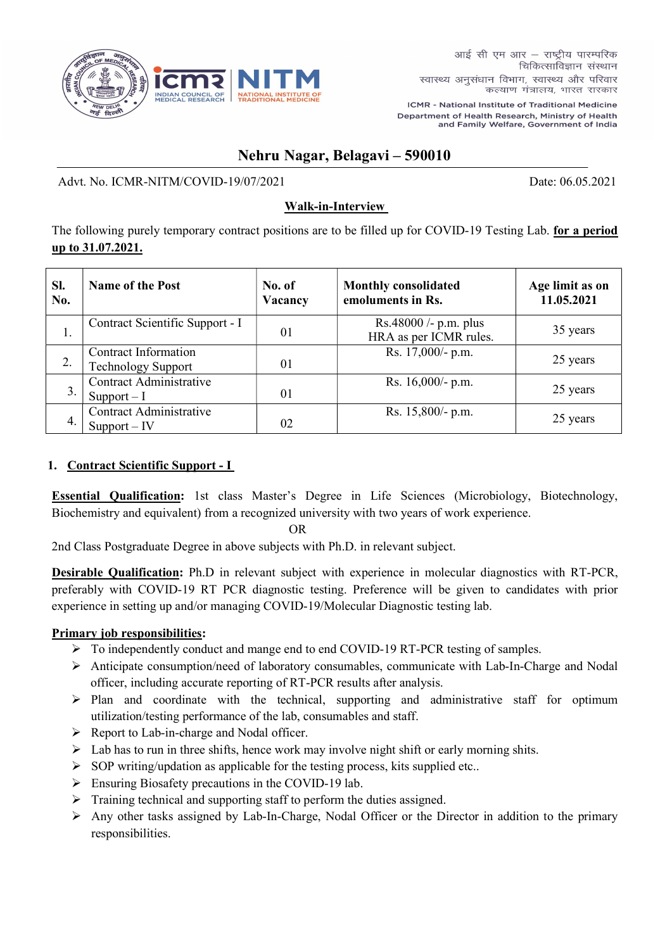

ICMR - National Institute of Traditional Medicine Department of Health Research, Ministry of Health and Family Welfare, Government of India

# Nehru Nagar, Belagavi – 590010

Advt. No. ICMR-NITM/COVID-19/07/2021 Date: 06.05.2021

## Walk-in-Interview

The following purely temporary contract positions are to be filled up for COVID-19 Testing Lab. for a period up to 31.07.2021.

| SI.<br>No. | <b>Name of the Post</b>                           | No. of<br>Vacancy | <b>Monthly consolidated</b><br>emoluments in Rs. | Age limit as on<br>11.05.2021 |
|------------|---------------------------------------------------|-------------------|--------------------------------------------------|-------------------------------|
| 1.         | Contract Scientific Support - I                   | 01                | Rs.48000 /- p.m. plus<br>HRA as per ICMR rules.  | 35 years                      |
| 2.         | Contract Information<br><b>Technology Support</b> | 01                | Rs. 17,000/- p.m.                                | 25 years                      |
| 3.         | Contract Administrative<br>Support $-I$           | 01                | Rs. $16,000$ /- p.m.                             | 25 years                      |
| 4.         | Contract Administrative<br>$Support - IV$         | 02                | Rs. 15,800/- p.m.                                | 25 years                      |

## 1. Contract Scientific Support - I

Essential Qualification: 1st class Master's Degree in Life Sciences (Microbiology, Biotechnology, Biochemistry and equivalent) from a recognized university with two years of work experience.

OR

2nd Class Postgraduate Degree in above subjects with Ph.D. in relevant subject.

Desirable Qualification: Ph.D in relevant subject with experience in molecular diagnostics with RT-PCR, preferably with COVID-19 RT PCR diagnostic testing. Preference will be given to candidates with prior experience in setting up and/or managing COVID-19/Molecular Diagnostic testing lab.

#### Primary job responsibilities:

- $\triangleright$  To independently conduct and mange end to end COVID-19 RT-PCR testing of samples.
- Anticipate consumption/need of laboratory consumables, communicate with Lab-In-Charge and Nodal officer, including accurate reporting of RT-PCR results after analysis.
- $\triangleright$  Plan and coordinate with the technical, supporting and administrative staff for optimum utilization/testing performance of the lab, consumables and staff.
- $\triangleright$  Report to Lab-in-charge and Nodal officer.
- $\triangleright$  Lab has to run in three shifts, hence work may involve night shift or early morning shits.
- $\triangleright$  SOP writing/updation as applicable for the testing process, kits supplied etc..
- Ensuring Biosafety precautions in the COVID-19 lab.
- $\triangleright$  Training technical and supporting staff to perform the duties assigned.
- Any other tasks assigned by Lab-In-Charge, Nodal Officer or the Director in addition to the primary responsibilities.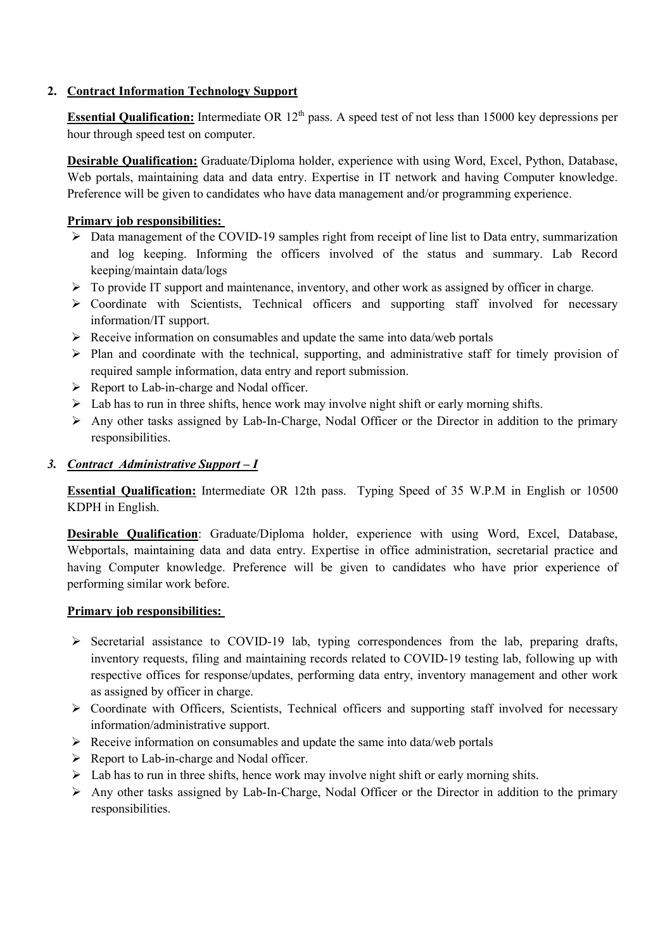#### 2. Contract Information Technology Support

**Essential Qualification:** Intermediate OR  $12<sup>th</sup>$  pass. A speed test of not less than 15000 key depressions per hour through speed test on computer.

Desirable Qualification: Graduate/Diploma holder, experience with using Word, Excel, Python, Database, Web portals, maintaining data and data entry. Expertise in IT network and having Computer knowledge. Preference will be given to candidates who have data management and/or programming experience.

#### Primary job responsibilities:

- Data management of the COVID-19 samples right from receipt of line list to Data entry, summarization and log keeping. Informing the officers involved of the status and summary. Lab Record keeping/maintain data/logs
- $\triangleright$  To provide IT support and maintenance, inventory, and other work as assigned by officer in charge.
- $\triangleright$  Coordinate with Scientists, Technical officers and supporting staff involved for necessary information/IT support.
- $\triangleright$  Receive information on consumables and update the same into data/web portals
- $\triangleright$  Plan and coordinate with the technical, supporting, and administrative staff for timely provision of required sample information, data entry and report submission.
- ▶ Report to Lab-in-charge and Nodal officer.
- $\triangleright$  Lab has to run in three shifts, hence work may involve night shift or early morning shifts.
- $\triangleright$  Any other tasks assigned by Lab-In-Charge, Nodal Officer or the Director in addition to the primary responsibilities.

#### 3. Contract Administrative Support – I

Essential Qualification: Intermediate OR 12th pass. Typing Speed of 35 W.P.M in English or 10500 KDPH in English.

Desirable Qualification: Graduate/Diploma holder, experience with using Word, Excel, Database, Webportals, maintaining data and data entry. Expertise in office administration, secretarial practice and having Computer knowledge. Preference will be given to candidates who have prior experience of performing similar work before.

#### Primary job responsibilities:

- $\triangleright$  Secretarial assistance to COVID-19 lab, typing correspondences from the lab, preparing drafts, inventory requests, filing and maintaining records related to COVID-19 testing lab, following up with respective offices for response/updates, performing data entry, inventory management and other work as assigned by officer in charge.
- Coordinate with Officers, Scientists, Technical officers and supporting staff involved for necessary information/administrative support.
- $\triangleright$  Receive information on consumables and update the same into data/web portals
- Report to Lab-in-charge and Nodal officer.
- $\triangleright$  Lab has to run in three shifts, hence work may involve night shift or early morning shits.
- $\triangleright$  Any other tasks assigned by Lab-In-Charge, Nodal Officer or the Director in addition to the primary responsibilities.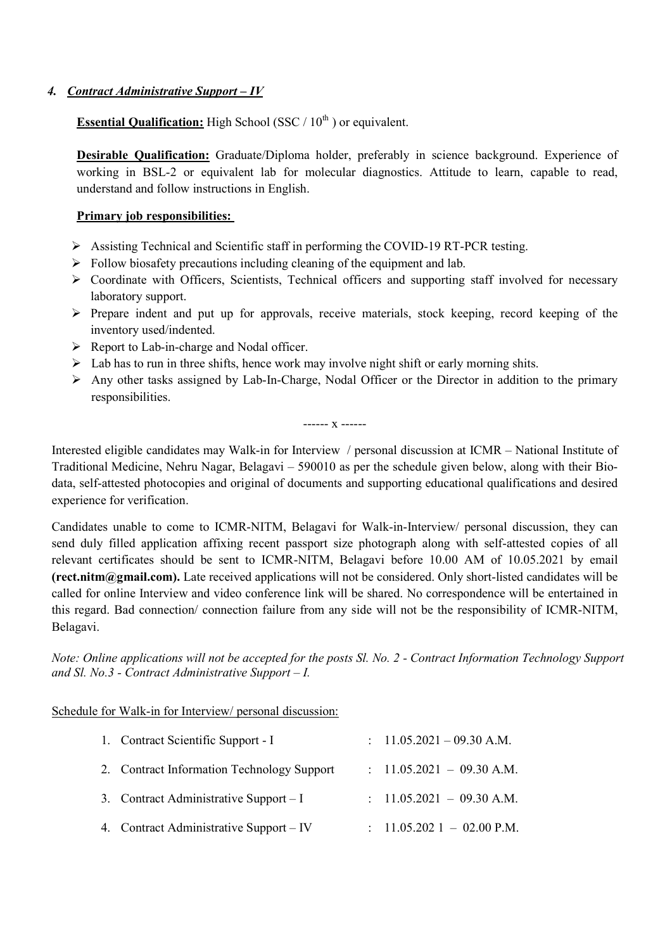#### 4. Contract Administrative Support - IV

**Essential Qualification:** High School (SSC /  $10<sup>th</sup>$ ) or equivalent.

Desirable Qualification: Graduate/Diploma holder, preferably in science background. Experience of working in BSL-2 or equivalent lab for molecular diagnostics. Attitude to learn, capable to read, understand and follow instructions in English.

#### Primary job responsibilities:

- $\triangleright$  Assisting Technical and Scientific staff in performing the COVID-19 RT-PCR testing.
- $\triangleright$  Follow biosafety precautions including cleaning of the equipment and lab.
- $\triangleright$  Coordinate with Officers, Scientists, Technical officers and supporting staff involved for necessary laboratory support.
- $\triangleright$  Prepare indent and put up for approvals, receive materials, stock keeping, record keeping of the inventory used/indented.
- $\triangleright$  Report to Lab-in-charge and Nodal officer.
- $\triangleright$  Lab has to run in three shifts, hence work may involve night shift or early morning shits.
- $\triangleright$  Any other tasks assigned by Lab-In-Charge, Nodal Officer or the Director in addition to the primary responsibilities.

------ x ------

Interested eligible candidates may Walk-in for Interview / personal discussion at ICMR – National Institute of Traditional Medicine, Nehru Nagar, Belagavi – 590010 as per the schedule given below, along with their Biodata, self-attested photocopies and original of documents and supporting educational qualifications and desired experience for verification.

Candidates unable to come to ICMR-NITM, Belagavi for Walk-in-Interview/ personal discussion, they can send duly filled application affixing recent passport size photograph along with self-attested copies of all relevant certificates should be sent to ICMR-NITM, Belagavi before 10.00 AM of 10.05.2021 by email (rect.nitm@gmail.com). Late received applications will not be considered. Only short-listed candidates will be called for online Interview and video conference link will be shared. No correspondence will be entertained in this regard. Bad connection/ connection failure from any side will not be the responsibility of ICMR-NITM, Belagavi.

Note: Online applications will not be accepted for the posts Sl. No. 2 - Contract Information Technology Support and Sl. No.3 - Contract Administrative Support  $-I$ .

Schedule for Walk-in for Interview/ personal discussion:

| 1. Contract Scientific Support - I         | : $11.05.2021 - 09.30$ A.M.           |
|--------------------------------------------|---------------------------------------|
| 2. Contract Information Technology Support | $: 11.05.2021 - 09.30$ A.M.           |
| 3. Contract Administrative Support $-I$    | $: 11.05.2021 - 09.30$ A.M.           |
| 4. Contract Administrative Support – IV    | $\therefore$ 11.05.202 1 - 02.00 P.M. |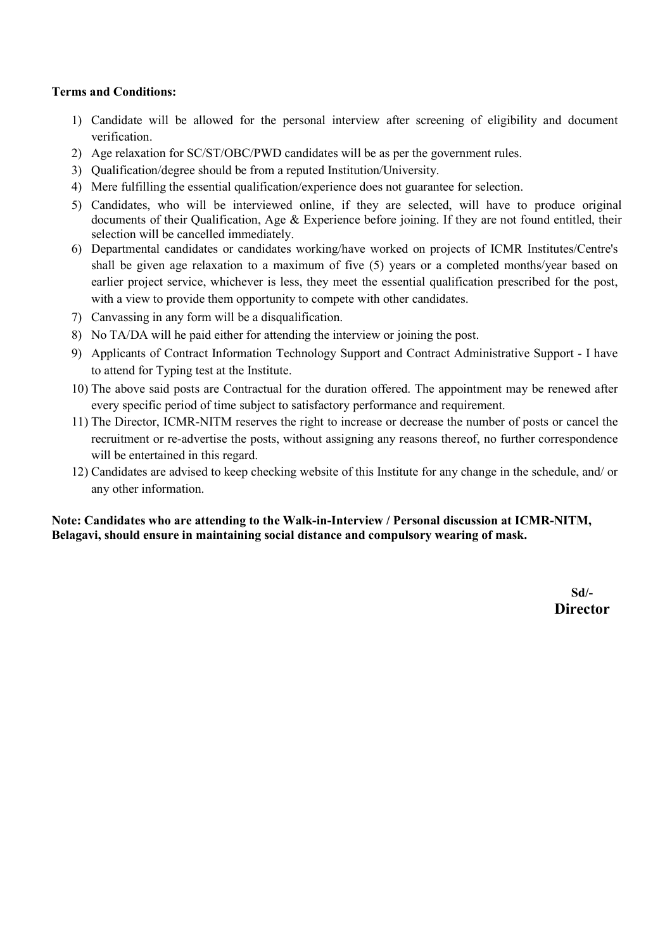#### Terms and Conditions:

- 1) Candidate will be allowed for the personal interview after screening of eligibility and document verification.
- 2) Age relaxation for SC/ST/OBC/PWD candidates will be as per the government rules.
- 3) Qualification/degree should be from a reputed Institution/University.
- 4) Mere fulfilling the essential qualification/experience does not guarantee for selection.
- 5) Candidates, who will be interviewed online, if they are selected, will have to produce original documents of their Qualification, Age & Experience before joining. If they are not found entitled, their selection will be cancelled immediately.
- 6) Departmental candidates or candidates working/have worked on projects of ICMR Institutes/Centre's shall be given age relaxation to a maximum of five (5) years or a completed months/year based on earlier project service, whichever is less, they meet the essential qualification prescribed for the post, with a view to provide them opportunity to compete with other candidates.
- 7) Canvassing in any form will be a disqualification.
- 8) No TA/DA will he paid either for attending the interview or joining the post.
- 9) Applicants of Contract Information Technology Support and Contract Administrative Support I have to attend for Typing test at the Institute.
- 10) The above said posts are Contractual for the duration offered. The appointment may be renewed after every specific period of time subject to satisfactory performance and requirement.
- 11) The Director, ICMR-NITM reserves the right to increase or decrease the number of posts or cancel the recruitment or re-advertise the posts, without assigning any reasons thereof, no further correspondence will be entertained in this regard.
- 12) Candidates are advised to keep checking website of this Institute for any change in the schedule, and/ or any other information.

#### Note: Candidates who are attending to the Walk-in-Interview / Personal discussion at ICMR-NITM, Belagavi, should ensure in maintaining social distance and compulsory wearing of mask.

Sd/- **Director**